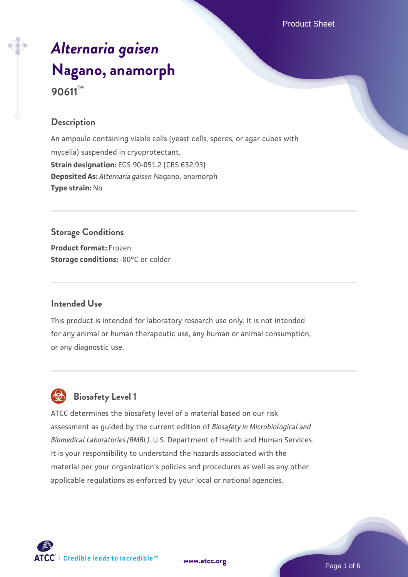# *[Alternaria gaisen](https://www.atcc.org/products/90611)* **[Nagano, anamorph](https://www.atcc.org/products/90611) 90611™**

## **Description**

An ampoule containing viable cells (yeast cells, spores, or agar cubes with mycelia) suspended in cryoprotectant. **Strain designation:** EGS 90-051.2 [CBS 632.93] **Deposited As:** *Alternaria gaisen* Nagano, anamorph **Type strain:** No

## **Storage Conditions**

**Product format:** Frozen **Storage conditions: -80°C or colder** 

#### **Intended Use**

This product is intended for laboratory research use only. It is not intended for any animal or human therapeutic use, any human or animal consumption, or any diagnostic use.

## **Biosafety Level 1**

ATCC determines the biosafety level of a material based on our risk assessment as guided by the current edition of *Biosafety in Microbiological and Biomedical Laboratories (BMBL)*, U.S. Department of Health and Human Services. It is your responsibility to understand the hazards associated with the material per your organization's policies and procedures as well as any other applicable regulations as enforced by your local or national agencies.



**[www.atcc.org](http://www.atcc.org)**

Page 1 of 6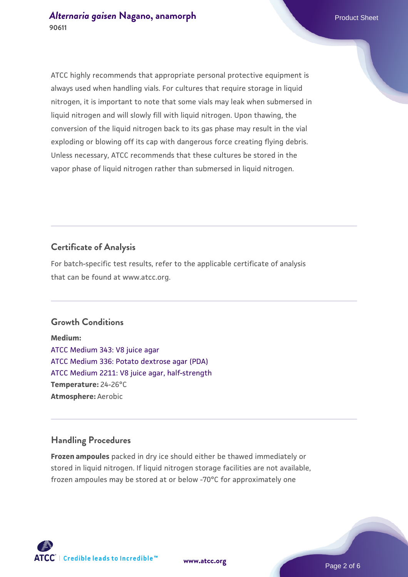ATCC highly recommends that appropriate personal protective equipment is always used when handling vials. For cultures that require storage in liquid nitrogen, it is important to note that some vials may leak when submersed in liquid nitrogen and will slowly fill with liquid nitrogen. Upon thawing, the conversion of the liquid nitrogen back to its gas phase may result in the vial exploding or blowing off its cap with dangerous force creating flying debris. Unless necessary, ATCC recommends that these cultures be stored in the vapor phase of liquid nitrogen rather than submersed in liquid nitrogen.

## **Certificate of Analysis**

For batch-specific test results, refer to the applicable certificate of analysis that can be found at www.atcc.org.

#### **Growth Conditions**

**Medium:**  [ATCC Medium 343: V8 juice agar](https://www.atcc.org/-/media/product-assets/documents/microbial-media-formulations/3/4/3/atcc-medium-0343.pdf?rev=fbf48fa24e664932828269db1822ab12) [ATCC Medium 336: Potato dextrose agar \(PDA\)](https://www.atcc.org/-/media/product-assets/documents/microbial-media-formulations/3/3/6/atcc-medium-336.pdf?rev=d9160ad44d934cd8b65175461abbf3b9) [ATCC Medium 2211: V8 juice agar, half-strength](https://www.atcc.org/-/media/product-assets/documents/microbial-media-formulations/2/2/1/1/atcc-medium-2211.pdf?rev=556c7dd2b94b4c8994eb3adffa660619) **Temperature:** 24-26°C **Atmosphere:** Aerobic

## **Handling Procedures**

**Frozen ampoules** packed in dry ice should either be thawed immediately or stored in liquid nitrogen. If liquid nitrogen storage facilities are not available, frozen ampoules may be stored at or below -70°C for approximately one



**[www.atcc.org](http://www.atcc.org)**

Page 2 of 6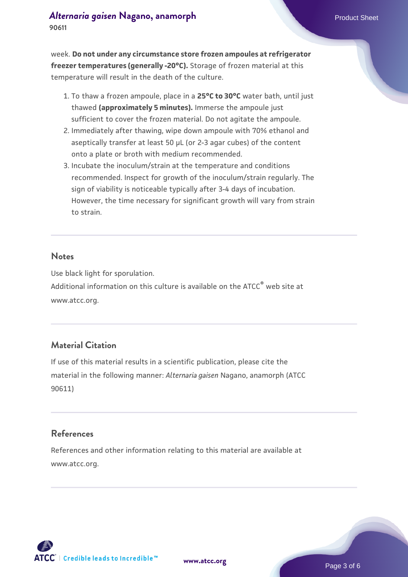#### *[Alternaria gaisen](https://www.atcc.org/products/90611)* **[Nagano, anamorph](https://www.atcc.org/products/90611)** Product Sheet **90611**

week. **Do not under any circumstance store frozen ampoules at refrigerator freezer temperatures (generally -20°C).** Storage of frozen material at this temperature will result in the death of the culture.

- 1. To thaw a frozen ampoule, place in a **25°C to 30°C** water bath, until just thawed **(approximately 5 minutes).** Immerse the ampoule just sufficient to cover the frozen material. Do not agitate the ampoule.
- 2. Immediately after thawing, wipe down ampoule with 70% ethanol and aseptically transfer at least 50 µL (or 2-3 agar cubes) of the content onto a plate or broth with medium recommended.
- Incubate the inoculum/strain at the temperature and conditions 3. recommended. Inspect for growth of the inoculum/strain regularly. The sign of viability is noticeable typically after 3-4 days of incubation. However, the time necessary for significant growth will vary from strain to strain.

#### **Notes**

Use black light for sporulation.

Additional information on this culture is available on the ATCC<sup>®</sup> web site at www.atcc.org.

#### **Material Citation**

If use of this material results in a scientific publication, please cite the material in the following manner: *Alternaria gaisen* Nagano, anamorph (ATCC 90611)

### **References**

References and other information relating to this material are available at www.atcc.org.

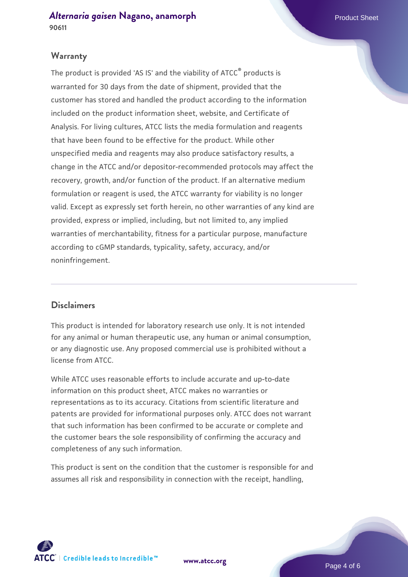*[Alternaria gaisen](https://www.atcc.org/products/90611)* **[Nagano, anamorph](https://www.atcc.org/products/90611)** Product Sheet **90611**

#### **Warranty**

The product is provided 'AS IS' and the viability of ATCC® products is warranted for 30 days from the date of shipment, provided that the customer has stored and handled the product according to the information included on the product information sheet, website, and Certificate of Analysis. For living cultures, ATCC lists the media formulation and reagents that have been found to be effective for the product. While other unspecified media and reagents may also produce satisfactory results, a change in the ATCC and/or depositor-recommended protocols may affect the recovery, growth, and/or function of the product. If an alternative medium formulation or reagent is used, the ATCC warranty for viability is no longer valid. Except as expressly set forth herein, no other warranties of any kind are provided, express or implied, including, but not limited to, any implied warranties of merchantability, fitness for a particular purpose, manufacture according to cGMP standards, typicality, safety, accuracy, and/or noninfringement.

#### **Disclaimers**

This product is intended for laboratory research use only. It is not intended for any animal or human therapeutic use, any human or animal consumption, or any diagnostic use. Any proposed commercial use is prohibited without a license from ATCC.

While ATCC uses reasonable efforts to include accurate and up-to-date information on this product sheet, ATCC makes no warranties or representations as to its accuracy. Citations from scientific literature and patents are provided for informational purposes only. ATCC does not warrant that such information has been confirmed to be accurate or complete and the customer bears the sole responsibility of confirming the accuracy and completeness of any such information.

This product is sent on the condition that the customer is responsible for and assumes all risk and responsibility in connection with the receipt, handling,



**[www.atcc.org](http://www.atcc.org)**

Page 4 of 6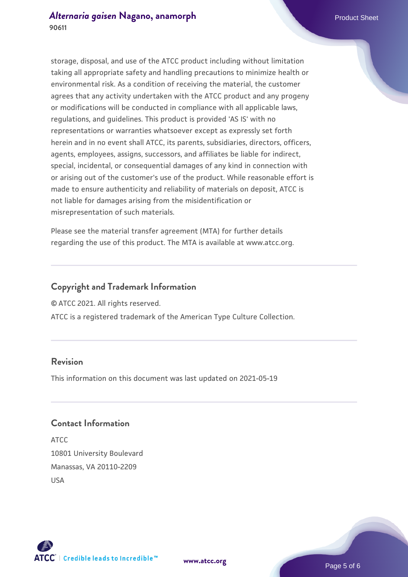storage, disposal, and use of the ATCC product including without limitation taking all appropriate safety and handling precautions to minimize health or environmental risk. As a condition of receiving the material, the customer agrees that any activity undertaken with the ATCC product and any progeny or modifications will be conducted in compliance with all applicable laws, regulations, and guidelines. This product is provided 'AS IS' with no representations or warranties whatsoever except as expressly set forth herein and in no event shall ATCC, its parents, subsidiaries, directors, officers, agents, employees, assigns, successors, and affiliates be liable for indirect, special, incidental, or consequential damages of any kind in connection with or arising out of the customer's use of the product. While reasonable effort is made to ensure authenticity and reliability of materials on deposit, ATCC is not liable for damages arising from the misidentification or misrepresentation of such materials.

Please see the material transfer agreement (MTA) for further details regarding the use of this product. The MTA is available at www.atcc.org.

## **Copyright and Trademark Information**

© ATCC 2021. All rights reserved.

ATCC is a registered trademark of the American Type Culture Collection.

## **Revision**

This information on this document was last updated on 2021-05-19

## **Contact Information**

ATCC 10801 University Boulevard Manassas, VA 20110-2209 USA